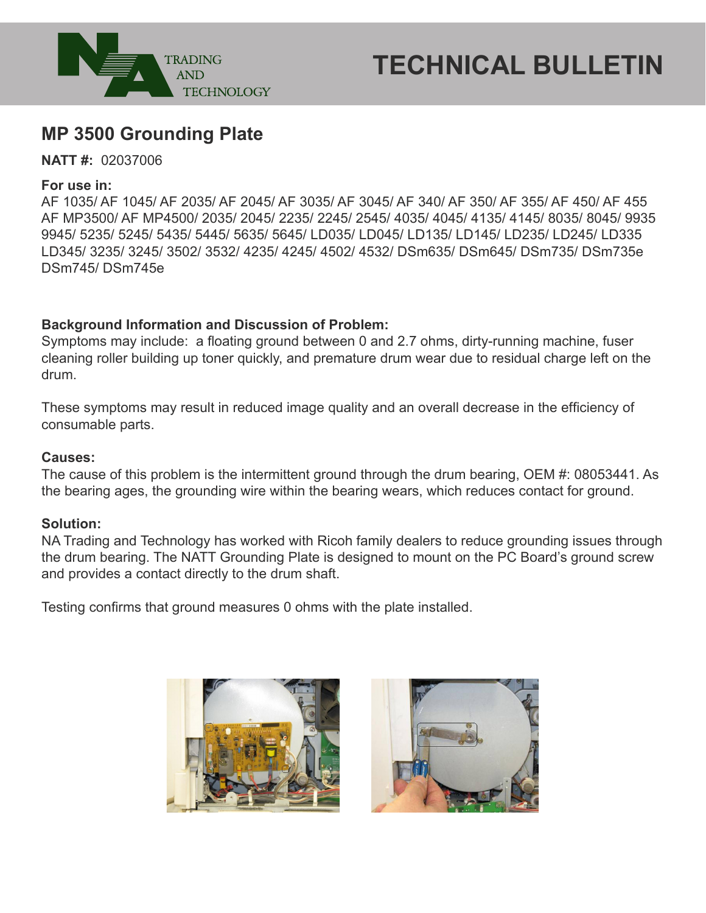

# **TECHNICAL BULLETIN**

### **MP 3500 Grounding Plate**

**NATT #:** 02037006

#### **For use in:**

AF 1035/ AF 1045/ AF 2035/ AF 2045/ AF 3035/ AF 3045/ AF 340/ AF 350/ AF 355/ AF 450/ AF 455 AF MP3500/ AF MP4500/ 2035/ 2045/ 2235/ 2245/ 2545/ 4035/ 4045/ 4135/ 4145/ 8035/ 8045/ 9935 9945/ 5235/ 5245/ 5435/ 5445/ 5635/ 5645/ LD035/ LD045/ LD135/ LD145/ LD235/ LD245/ LD335 LD345/ 3235/ 3245/ 3502/ 3532/ 4235/ 4245/ 4502/ 4532/ DSm635/ DSm645/ DSm735/ DSm735e DSm745/ DSm745e

### **Background Information and Discussion of Problem:**

Symptoms may include: a floating ground between 0 and 2.7 ohms, dirty-running machine, fuser cleaning roller building up toner quickly, and premature drum wear due to residual charge left on the drum.

These symptoms may result in reduced image quality and an overall decrease in the efficiency of consumable parts.

#### **Causes:**

The cause of this problem is the intermittent ground through the drum bearing, OEM #: 08053441. As the bearing ages, the grounding wire within the bearing wears, which reduces contact for ground.

#### **Solution:**

NA Trading and Technology has worked with Ricoh family dealers to reduce grounding issues through the drum bearing. The NATT Grounding Plate is designed to mount on the PC Board's ground screw and provides a contact directly to the drum shaft.

Testing confirms that ground measures 0 ohms with the plate installed.